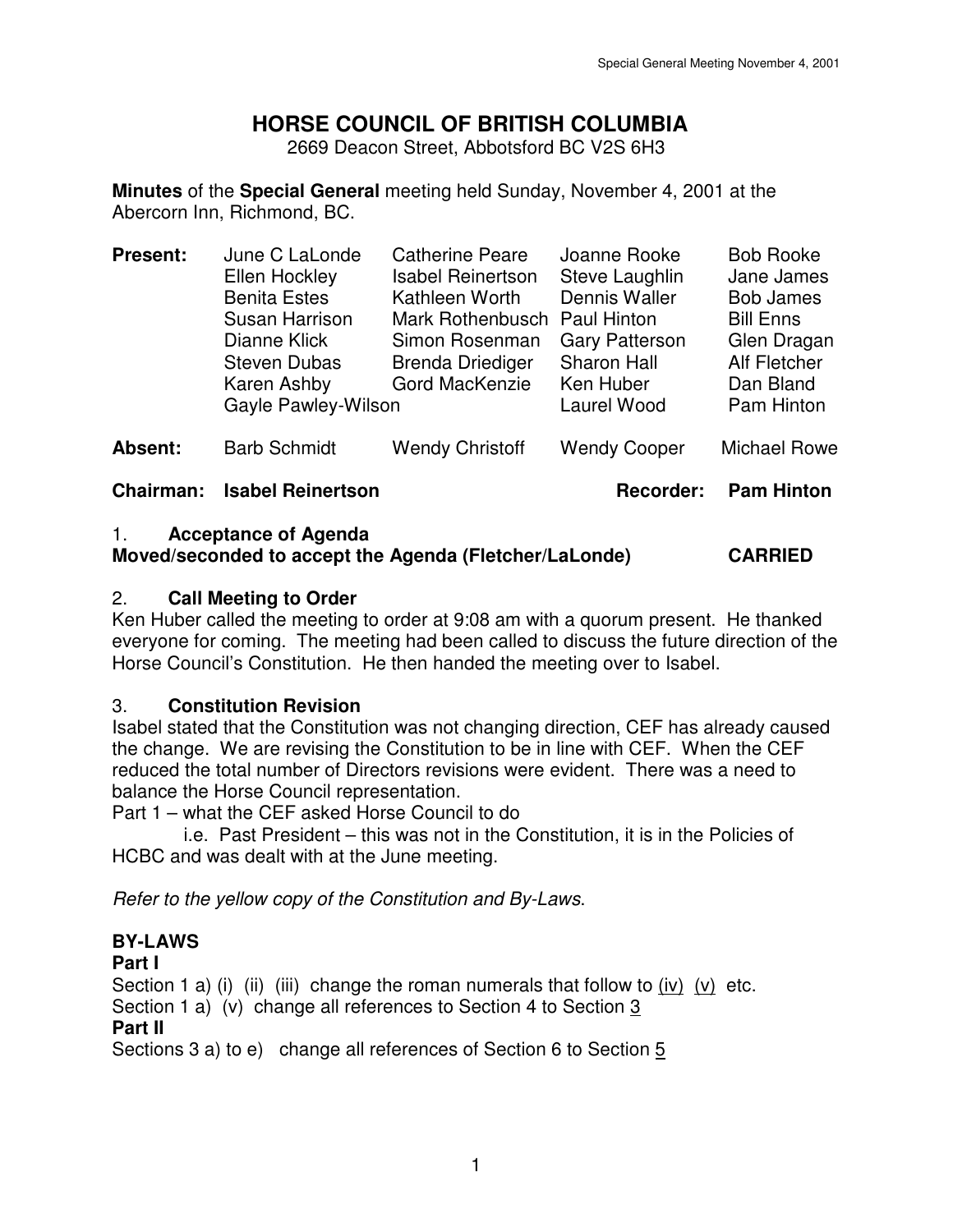# **HORSE COUNCIL OF BRITISH COLUMBIA**

2669 Deacon Street, Abbotsford BC V2S 6H3

**Minutes** of the **Special General** meeting held Sunday, November 4, 2001 at the Abercorn Inn, Richmond, BC.

| <b>Present:</b>  | June C LaLonde<br>Ellen Hockley<br><b>Benita Estes</b><br>Susan Harrison<br>Dianne Klick<br><b>Steven Dubas</b><br>Karen Ashby<br>Gayle Pawley-Wilson | <b>Catherine Peare</b><br><b>Isabel Reinertson</b><br>Kathleen Worth<br>Mark Rothenbusch Paul Hinton<br>Simon Rosenman<br><b>Brenda Driediger</b><br>Gord MacKenzie | Joanne Rooke<br>Steve Laughlin<br>Dennis Waller<br><b>Gary Patterson</b><br><b>Sharon Hall</b><br>Ken Huber<br>Laurel Wood | <b>Bob Rooke</b><br>Jane James<br><b>Bob James</b><br><b>Bill Enns</b><br>Glen Dragan<br>Alf Fletcher<br>Dan Bland<br>Pam Hinton |
|------------------|-------------------------------------------------------------------------------------------------------------------------------------------------------|---------------------------------------------------------------------------------------------------------------------------------------------------------------------|----------------------------------------------------------------------------------------------------------------------------|----------------------------------------------------------------------------------------------------------------------------------|
| Absent:          | <b>Barb Schmidt</b>                                                                                                                                   | <b>Wendy Christoff</b>                                                                                                                                              | <b>Wendy Cooper</b>                                                                                                        | Michael Rowe                                                                                                                     |
| <b>Chairman:</b> | <b>Isabel Reinertson</b>                                                                                                                              |                                                                                                                                                                     | <b>Recorder:</b>                                                                                                           | <b>Pam Hinton</b>                                                                                                                |

#### 1. **Acceptance of Agenda Moved/seconded to accept the Agenda (Fletcher/LaLonde) CARRIED**

## 2. **Call Meeting to Order**

Ken Huber called the meeting to order at 9:08 am with a quorum present. He thanked everyone for coming. The meeting had been called to discuss the future direction of the Horse Council's Constitution. He then handed the meeting over to Isabel.

# 3. **Constitution Revision**

Isabel stated that the Constitution was not changing direction, CEF has already caused the change. We are revising the Constitution to be in line with CEF. When the CEF reduced the total number of Directors revisions were evident. There was a need to balance the Horse Council representation.

Part 1 – what the CEF asked Horse Council to do

 i.e. Past President – this was not in the Constitution, it is in the Policies of HCBC and was dealt with at the June meeting.

Refer to the yellow copy of the Constitution and By-Laws.

# **BY-LAWS**

### **Part I**

Section 1 a) (i) (ii) (iii) change the roman numerals that follow to (iv) (v) etc.

Section 1 a) (v) change all references to Section 4 to Section 3

# **Part II**

Sections 3 a) to e) change all references of Section 6 to Section 5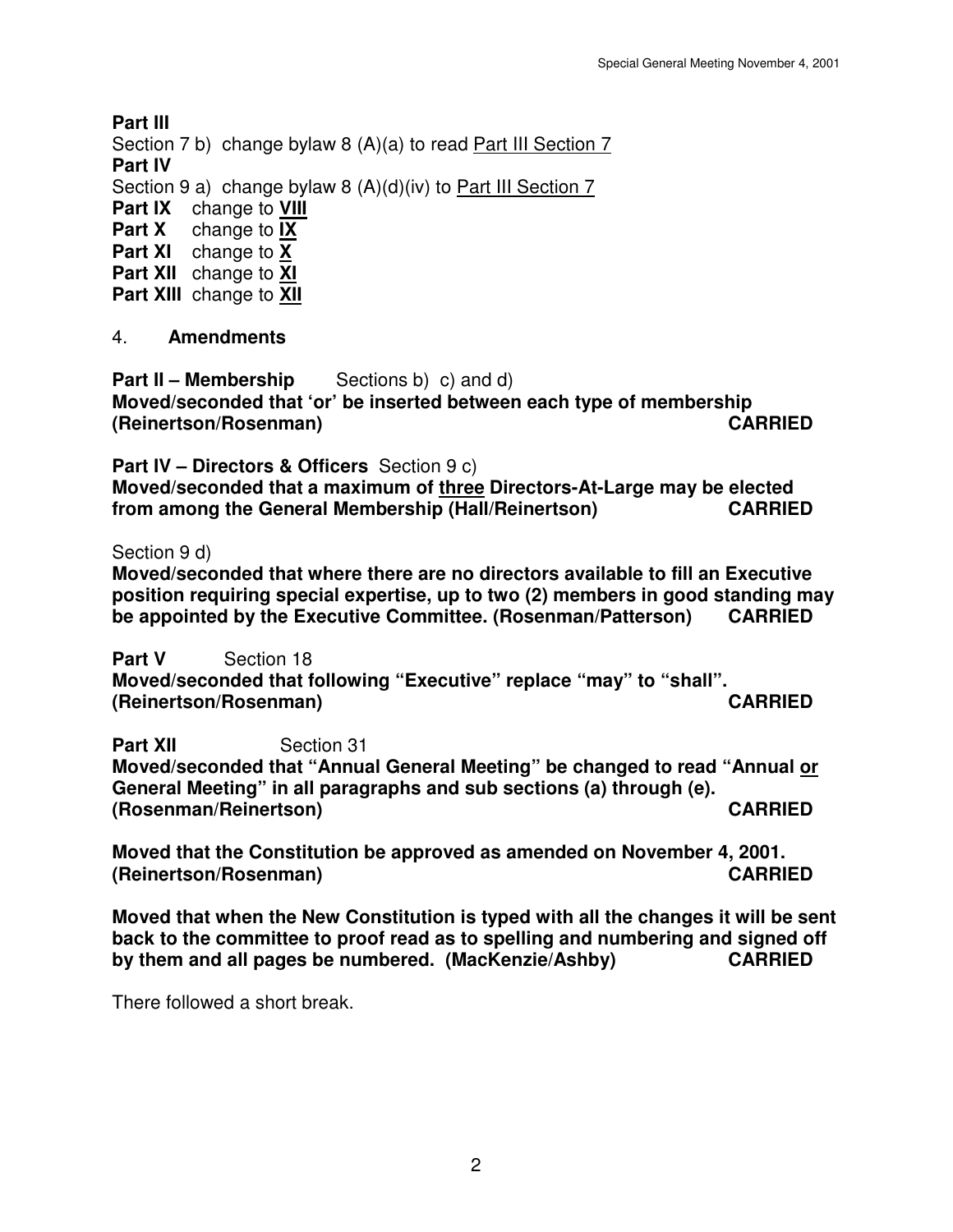**Part III** 

Section 7 b) change bylaw 8 (A)(a) to read Part III Section 7

**Part IV** 

Section 9 a) change bylaw 8 (A)(d)(iv) to Part III Section 7

**Part IX** change to **VIII**

**Part X** change to **IX**

**Part XI** change to **X**

**Part XII** change to **XI**

**Part XIII** change to **XII**

# 4. **Amendments**

**Part II – Membership** Sections b) c) and d) **Moved/seconded that 'or' be inserted between each type of membership (Reinertson/Rosenman) CARRIED** 

**Part IV – Directors & Officers** Section 9 c)

**Moved/seconded that a maximum of three Directors-At-Large may be elected from among the General Membership (Hall/Reinertson) CARRIED** 

Section 9 d)

**Moved/seconded that where there are no directors available to fill an Executive position requiring special expertise, up to two (2) members in good standing may be appointed by the Executive Committee. (Rosenman/Patterson) CARRIED** 

**Part V** Section 18 **Moved/seconded that following "Executive" replace "may" to "shall". (Reinertson/Rosenman) CARRIED** 

**Part XII** Section 31 **Moved/seconded that "Annual General Meeting" be changed to read "Annual or General Meeting" in all paragraphs and sub sections (a) through (e). (Rosenman/Reinertson) CARRIED** 

**Moved that the Constitution be approved as amended on November 4, 2001. (Reinertson/Rosenman) CARRIED** 

**Moved that when the New Constitution is typed with all the changes it will be sent back to the committee to proof read as to spelling and numbering and signed off by them and all pages be numbered. (MacKenzie/Ashby) CARRIED** 

There followed a short break.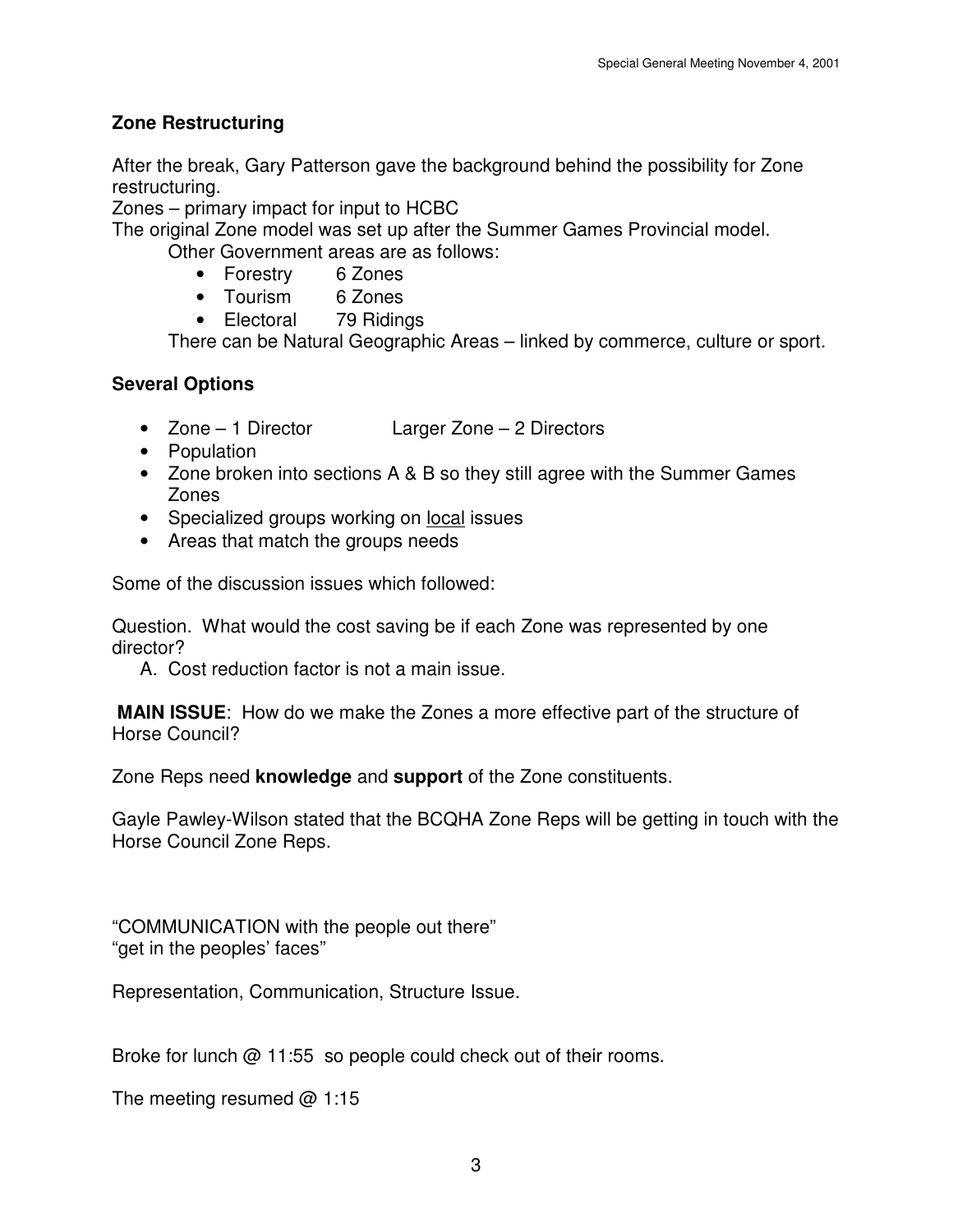# **Zone Restructuring**

After the break, Gary Patterson gave the background behind the possibility for Zone restructuring.

Zones – primary impact for input to HCBC

The original Zone model was set up after the Summer Games Provincial model.

Other Government areas are as follows:

- Forestry 6 Zones
- Tourism 6 Zones
- Electoral 79 Ridings

There can be Natural Geographic Areas – linked by commerce, culture or sport.

# **Several Options**

- Zone 1 Director Larger Zone 2 Directors
- Population
- Zone broken into sections A & B so they still agree with the Summer Games Zones
- Specialized groups working on local issues
- Areas that match the groups needs

Some of the discussion issues which followed:

Question. What would the cost saving be if each Zone was represented by one director?

A. Cost reduction factor is not a main issue.

**MAIN ISSUE**: How do we make the Zones a more effective part of the structure of Horse Council?

Zone Reps need **knowledge** and **support** of the Zone constituents.

Gayle Pawley-Wilson stated that the BCQHA Zone Reps will be getting in touch with the Horse Council Zone Reps.

"COMMUNICATION with the people out there" "get in the peoples' faces"

Representation, Communication, Structure Issue.

Broke for lunch @ 11:55 so people could check out of their rooms.

The meeting resumed  $@1:15$